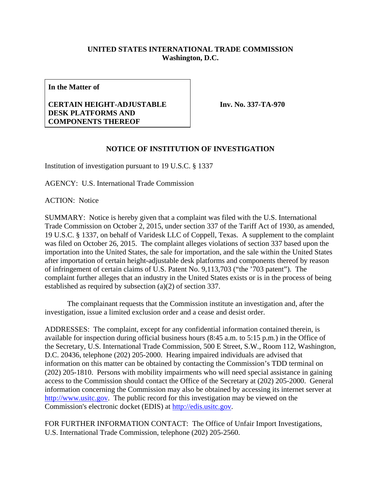## **UNITED STATES INTERNATIONAL TRADE COMMISSION Washington, D.C.**

**In the Matter of** 

## **CERTAIN HEIGHT-ADJUSTABLE DESK PLATFORMS AND COMPONENTS THEREOF**

**Inv. No. 337-TA-970**

## **NOTICE OF INSTITUTION OF INVESTIGATION**

Institution of investigation pursuant to 19 U.S.C. § 1337

AGENCY: U.S. International Trade Commission

ACTION: Notice

SUMMARY: Notice is hereby given that a complaint was filed with the U.S. International Trade Commission on October 2, 2015, under section 337 of the Tariff Act of 1930, as amended, 19 U.S.C. § 1337, on behalf of Varidesk LLC of Coppell, Texas. A supplement to the complaint was filed on October 26, 2015. The complaint alleges violations of section 337 based upon the importation into the United States, the sale for importation, and the sale within the United States after importation of certain height-adjustable desk platforms and components thereof by reason of infringement of certain claims of U.S. Patent No. 9,113,703 ("the '703 patent"). The complaint further alleges that an industry in the United States exists or is in the process of being established as required by subsection (a)(2) of section 337.

 The complainant requests that the Commission institute an investigation and, after the investigation, issue a limited exclusion order and a cease and desist order.

ADDRESSES: The complaint, except for any confidential information contained therein, is available for inspection during official business hours (8:45 a.m. to 5:15 p.m.) in the Office of the Secretary, U.S. International Trade Commission, 500 E Street, S.W., Room 112, Washington, D.C. 20436, telephone (202) 205-2000. Hearing impaired individuals are advised that information on this matter can be obtained by contacting the Commission's TDD terminal on (202) 205-1810. Persons with mobility impairments who will need special assistance in gaining access to the Commission should contact the Office of the Secretary at (202) 205-2000. General information concerning the Commission may also be obtained by accessing its internet server at http://www.usitc.gov. The public record for this investigation may be viewed on the Commission's electronic docket (EDIS) at http://edis.usitc.gov.

FOR FURTHER INFORMATION CONTACT: The Office of Unfair Import Investigations, U.S. International Trade Commission, telephone (202) 205-2560.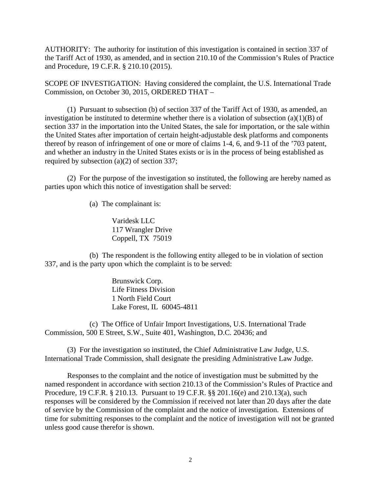AUTHORITY: The authority for institution of this investigation is contained in section 337 of the Tariff Act of 1930, as amended, and in section 210.10 of the Commission's Rules of Practice and Procedure, 19 C.F.R. § 210.10 (2015).

SCOPE OF INVESTIGATION: Having considered the complaint, the U.S. International Trade Commission, on October 30, 2015, ORDERED THAT –

 (1) Pursuant to subsection (b) of section 337 of the Tariff Act of 1930, as amended, an investigation be instituted to determine whether there is a violation of subsection (a)(1)(B) of section 337 in the importation into the United States, the sale for importation, or the sale within the United States after importation of certain height-adjustable desk platforms and components thereof by reason of infringement of one or more of claims 1-4, 6, and 9-11 of the '703 patent, and whether an industry in the United States exists or is in the process of being established as required by subsection (a)(2) of section 337;

 (2) For the purpose of the investigation so instituted, the following are hereby named as parties upon which this notice of investigation shall be served:

(a) The complainant is:

Varidesk LLC 117 Wrangler Drive Coppell, TX 75019

 (b) The respondent is the following entity alleged to be in violation of section 337, and is the party upon which the complaint is to be served:

> Brunswick Corp. Life Fitness Division 1 North Field Court Lake Forest, IL 60045-4811

 (c) The Office of Unfair Import Investigations, U.S. International Trade Commission, 500 E Street, S.W., Suite 401, Washington, D.C. 20436; and

 (3) For the investigation so instituted, the Chief Administrative Law Judge, U.S. International Trade Commission, shall designate the presiding Administrative Law Judge.

 Responses to the complaint and the notice of investigation must be submitted by the named respondent in accordance with section 210.13 of the Commission's Rules of Practice and Procedure, 19 C.F.R. § 210.13. Pursuant to 19 C.F.R. §§ 201.16(e) and 210.13(a), such responses will be considered by the Commission if received not later than 20 days after the date of service by the Commission of the complaint and the notice of investigation. Extensions of time for submitting responses to the complaint and the notice of investigation will not be granted unless good cause therefor is shown.